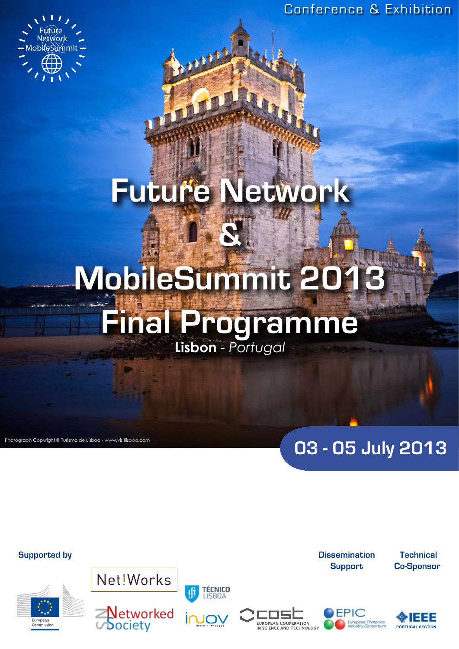Conference & Exhibition



## **Future Network &**

Jul

# **MobileSummit 2013**

## **Final Programme**

### **Lisbon** - *Portugal*

TÉCNICO **ISBOA** 

 $\Box$ 

## **03 - 05 July 2013**

**Supported by**

Photograph Copyright © Turismo de Lisboa - www.visitlisboa.com

Net!Works

ociety

 ${\color{blue}\mathsf{Networked}}$ 





 **Technical Co-Sponsor**



EUROPEAN COOPERATION

IN SCIENCE AND TECHNOLOGY

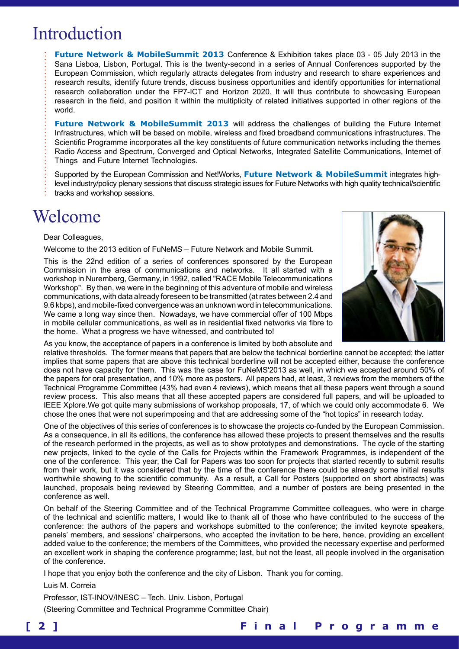## Introduction

**Future Network & MobileSummit 2013** Conference & Exhibition takes place 03 - 05 July 2013 in the Sana Lisboa, Lisbon, Portugal. This is the twenty-second in a series of Annual Conferences supported by the European Commission, which regularly attracts delegates from industry and research to share experiences and research results, identify future trends, discuss business opportunities and identify opportunities for international research collaboration under the FP7-ICT and Horizon 2020. It will thus contribute to showcasing European research in the field, and position it within the multiplicity of related initiatives supported in other regions of the world.

**Future Network & MobileSummit 2013** will address the challenges of building the Future Internet Infrastructures, which will be based on mobile, wireless and fixed broadband communications infrastructures. The Scientific Programme incorporates all the key constituents of future communication networks including the themes Radio Access and Spectrum, Converged and Optical Networks, Integrated Satellite Communications, Internet of Things and Future Internet Technologies.

Supported by the European Commission and Net!Works, **Future Network & MobileSummit** integrates highlevel industry/policy plenary sessions that discuss strategic issues for Future Networks with high quality technical/scientific tracks and workshop sessions.

## Welcome

#### Dear Colleagues,

Welcome to the 2013 edition of FuNeMS – Future Network and Mobile Summit.

This is the 22nd edition of a series of conferences sponsored by the European Commission in the area of communications and networks. It all started with a workshop in Nuremberg, Germany, in 1992, called "RACE Mobile Telecommunications Workshop". By then, we were in the beginning of this adventure of mobile and wireless communications, with data already foreseen to be transmitted (at rates between 2.4 and 9.6 kbps), and mobile-fixed convergence was an unknown word in telecommunications. We came a long way since then. Nowadays, we have commercial offer of 100 Mbps in mobile cellular communications, as well as in residential fixed networks via fibre to the home. What a progress we have witnessed, and contributed to!



As you know, the acceptance of papers in a conference is limited by both absolute and

relative thresholds. The former means that papers that are below the technical borderline cannot be accepted; the latter implies that some papers that are above this technical borderline will not be accepted either, because the conference does not have capacity for them. This was the case for FuNeMS'2013 as well, in which we accepted around 50% of the papers for oral presentation, and 10% more as posters. All papers had, at least, 3 reviews from the members of the Technical Programme Committee (43% had even 4 reviews), which means that all these papers went through a sound review process. This also means that all these accepted papers are considered full papers, and will be uploaded to IEEE Xplore.We got quite many submissions of workshop proposals, 17, of which we could only accommodate 6. We chose the ones that were not superimposing and that are addressing some of the "hot topics" in research today.

One of the objectives of this series of conferences is to showcase the projects co-funded by the European Commission. As a consequence, in all its editions, the conference has allowed these projects to present themselves and the results of the research performed in the projects, as well as to show prototypes and demonstrations. The cycle of the starting new projects, linked to the cycle of the Calls for Projects within the Framework Programmes, is independent of the one of the conference. This year, the Call for Papers was too soon for projects that started recently to submit results from their work, but it was considered that by the time of the conference there could be already some initial results worthwhile showing to the scientific community. As a result, a Call for Posters (supported on short abstracts) was launched, proposals being reviewed by Steering Committee, and a number of posters are being presented in the conference as well.

On behalf of the Steering Committee and of the Technical Programme Committee colleagues, who were in charge of the technical and scientific matters, I would like to thank all of those who have contributed to the success of the conference: the authors of the papers and workshops submitted to the conference; the invited keynote speakers, panels' members, and sessions' chairpersons, who accepted the invitation to be here, hence, providing an excellent added value to the conference; the members of the Committees, who provided the necessary expertise and performed an excellent work in shaping the conference programme; last, but not the least, all people involved in the organisation of the conference.

I hope that you enjoy both the conference and the city of Lisbon. Thank you for coming.

Luis M. Correia

Professor, IST-INOV/INESC – Tech. Univ. Lisbon, Portugal

(Steering Committee and Technical Programme Committee Chair)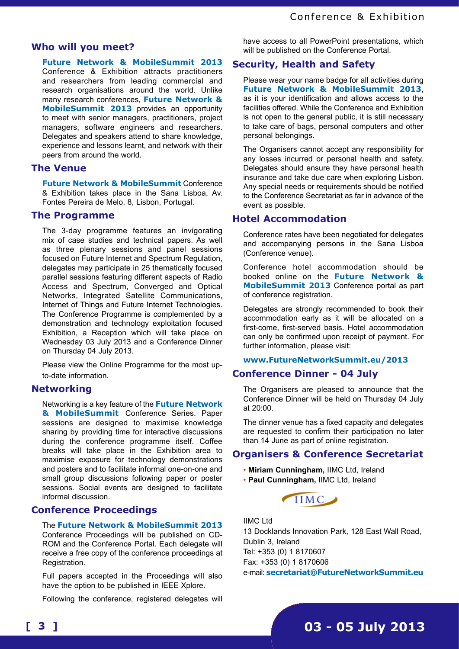#### **Who will you meet?**

**Future Network & MobileSummit 2013**  Conference & Exhibition attracts practitioners and researchers from leading commercial and research organisations around the world. Unlike many research conferences, **Future Network & MobileSummit 2013** provides an opportunity to meet with senior managers, practitioners, project managers, software engineers and researchers. Delegates and speakers attend to share knowledge, experience and lessons learnt, and network with their peers from around the world.

#### **The Venue**

**Future Network & MobileSummit** Conference & Exhibition takes place in the Sana Lisboa, Av. Fontes Pereira de Melo, 8, Lisbon, Portugal.

#### **The Programme**

The 3-day programme features an invigorating mix of case studies and technical papers. As well as three plenary sessions and panel sessions focused on Future Internet and Spectrum Regulation, delegates may participate in 25 thematically focused parallel sessions featuring different aspects of Radio Access and Spectrum, Converged and Optical Networks, Integrated Satellite Communications, Internet of Things and Future Internet Technologies. The Conference Programme is complemented by a demonstration and technology exploitation focused Exhibition, a Reception which will take place on Wednesday 03 July 2013 and a Conference Dinner on Thursday 04 July 2013.

Please view the Online Programme for the most upto-date information.

#### **Networking**

Networking is a key feature of the **Future Network & MobileSummit** Conference Series. Paper sessions are designed to maximise knowledge sharing by providing time for interactive discussions during the conference programme itself. Coffee breaks will take place in the Exhibition area to maximise exposure for technology demonstrations and posters and to facilitate informal one-on-one and small group discussions following paper or poster sessions. Social events are designed to facilitate informal discussion.

#### **Conference Proceedings**

The **Future Network & MobileSummit 2013** Conference Proceedings will be published on CD-ROM and the Conference Portal. Each delegate will receive a free copy of the conference proceedings at Registration.

Full papers accepted in the Proceedings will also have the option to be published in IEEE Xplore.

Following the conference, registered delegates will

have access to all PowerPoint presentations, which will be published on the Conference Portal.

#### **Security, Health and Safety**

Please wear your name badge for all activities during **Future Network & MobileSummit 2013**, as it is your identification and allows access to the facilities offered. While the Conference and Exhibition is not open to the general public, it is still necessary to take care of bags, personal computers and other personal belongings.

The Organisers cannot accept any responsibility for any losses incurred or personal health and safety. Delegates should ensure they have personal health insurance and take due care when exploring Lisbon. Any special needs or requirements should be notified to the Conference Secretariat as far in advance of the event as possible.

#### **Hotel Accommodation**

Conference rates have been negotiated for delegates and accompanying persons in the Sana Lisboa (Conference venue).

Conference hotel accommodation should be booked online on the **Future Network & MobileSummit 2013** Conference portal as part of conference registration.

Delegates are strongly recommended to book their accommodation early as it will be allocated on a first-come, first-served basis. Hotel accommodation can only be confirmed upon receipt of payment. For further information, please visit:

#### **www.FutureNetworkSummit.eu/2013**

#### **Conference Dinner - 04 July**

The Organisers are pleased to announce that the Conference Dinner will be held on Thursday 04 July at 20:00.

The dinner venue has a fixed capacity and delegates are requested to confirm their participation no later than 14 June as part of online registration.

#### **Organisers & Conference Secretariat**

- **Miriam Cunningham,** IIMC Ltd, Ireland
- **Paul Cunningham,** IIMC Ltd, Ireland



IIMC Ltd 13 Docklands Innovation Park, 128 East Wall Road, Dublin 3, Ireland Tel: +353 (0) 1 8170607 Fax: +353 (0) 1 8170606 e-mail: **secretariat@FutureNetworkSummit.eu**

**03 - 05 July 2013**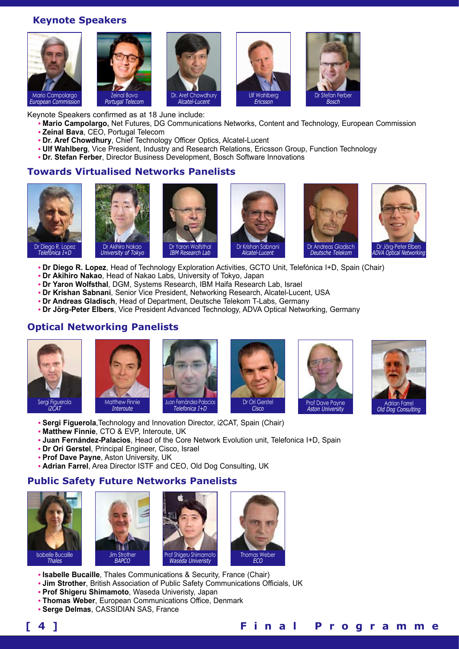#### **Keynote Speakers**











Keynote Speakers confirmed as at 18 June include:

- **Mario Campolargo,** Net Futures, DG Communications Networks, Content and Technology, European Commission **•**
- **Zeinal Bava**, CEO, Portugal Telecom **•**
- **Dr. Aref Chowdhury**, Chief Technology Officer Optics, Alcatel-Lucent **•**
- **Ulf Wahlberg**, Vice President, Industry and Research Relations, Ericsson Group, Function Technology **•**
- **Dr. Stefan Ferber**, Director Business Development, Bosch Software Innovations **•**

#### **Towards Virtualised Networks Panelists**













- **Dr Diego R. Lopez**, Head of Technology Exploration Activities, GCTO Unit, Telefónica I+D, Spain (Chair) **•**
- **Dr Akihiro Nakao**, Head of Nakao Labs, University of Tokyo, Japan **•**
- **Dr Yaron Wolfsthal**, DGM, Systems Research, IBM Haifa Research Lab, Israel **•**
- **Dr Krishan Sabnani**, Senior Vice President, Networking Research, Alcatel-Lucent, USA **•**
- **Dr Andreas Gladisch**, Head of Department, Deutsche Telekom T-Labs, Germany **•**
- **Dr Jörg-Peter Elbers**, Vice President Advanced Technology, ADVA Optical Networking, Germany **•**

#### **Optical Networking Panelists**













- **Sergi Figuerola**,Technology and Innovation Director, i2CAT, Spain (Chair) **•**
- **Matthew Finnie**, CTO & EVP, Interoute, UK **•**
- **Juan Fernández-Palacios**, Head of the Core Network Evolution unit, Telefonica I+D, Spain **•**
- **Dr Ori Gerstel**, Principal Engineer, Cisco, Israel **•**
- **Prof Dave Payne**, Aston University, UK **•**
- **Adrian Farrel**, Area Director ISTF and CEO, Old Dog Consulting, UK **•**

#### **Public Safety Future Networks Panelists**









- **Isabelle Bucaille**, Thales Communications & Security, France (Chair) **•**
- **Jim Strother**, British Association of Public Safety Communications Officials, UK **•**
- **Prof Shigeru Shimamoto**, Waseda Univeristy, Japan **•**
- **Thomas Weber**, European Communications Office, Denmark **•**
- **Serge Delmas**, CASSIDIAN SAS, France **•**

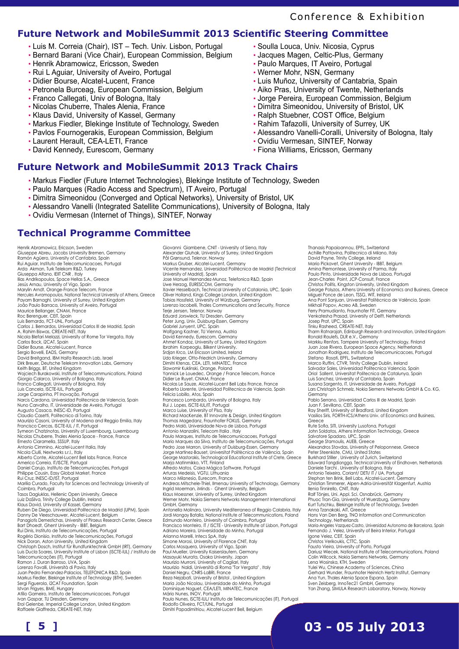#### **Future Network and MobileSummit 2013 Scientific Steering Committee**

- Luis M. Correia (Chair), IST Tech. Univ. Lisbon, Portugal •
- Bernard Barani (Vice Chair), European Commission, Belgium
- Henrik Abramowicz, Ericsson, Sweden
- Rui L Aguiar, University of Aveiro, Portugal
- Didier Bourse, Alcatel-Lucent, France
- Petronela Burceag, European Commission, Belgium •
- Franco Callegati, Univ of Bologna, Italy
- Nicolas Chuberre, Thales Alenia, France
- Klaus David, University of Kassel, Germany
- Markus Fiedler, Blekinge Institute of Technology, Sweden •
- Pavlos Fournogerakis, European Commission, Belgium •
- Laurent Herault, CEA-LETI, France •
- David Kennedy, Eurescom, Germany •

#### **Future Network and MobileSummit 2013 Track Chairs**

- Markus Fiedler (Future Internet Technologies), Blekinge Institute of Technology, Sweden
- Paulo Marques (Radio Access and Spectrum), IT Aveiro, Portugal
- Dimitra Simeonidou (Converged and Optical Networks), University of Bristol, UK
- Alessandro Vanelli (Integrated Satellite Communications), University of Bologna, Italy
- Ovidiu Vermesan (Internet of Things), SINTEF, Norway •

#### **Technical Programme Committee**

Henrik Abramowicz, Ericsson, Sweden Giuseppe Abreu, Jacobs University Bremen, Germany Ramón Agüero, University of Cantabria, Spain Rui Aguiar, Instituto de Telecomunicacoes, Portugal Arda Akman, Turk Telekom R&D, Turkey Giuseppa Alfano, IEIIT CNR , Italy Ilias Andrikopoulos, Space Hellas S.A., Greece Jesús Arnau, University of Vigo, Spain Marylin Arndt, Orange-France Telecom, France Hercules Avramopoulos, National Technical University of Athens, Greece Payam Barnaghi, University of Surrey, United Kingdom João Paulo Barraca, University of Aveiro, Portugal Maurice Bellanger, CNAM, France Roc Berenguer, CEIT, Spain Luis Bernardo, FCT-UNL, Portugal Carlos J. Bernardos, Universidad Carlos III de Madrid, Spain A. Rahim Biswas, CREATE-NET, Italy Nicola Blefari Melazzi, University of Rome Tor Vergata, Italy Carlos Bock, i2CAT, Spain Didier Bourse, Alcatel-Lucent, France Sergio Bovelli, EADS, Germany David Breitgand, IBM Haifa Research Lab, Israel Dirk Breuer, Deutsche Telekom Innovation Labs, Germany Keith Briggs, BT, United Kingdom Wojciech Burakowski, Institute of Telecommunications, Poland Giorgio Calarco, University of Bologna, Italy Franco Callegati, University of Bologna, Italy<br>Luis Cancela, ISCTE-IUL, Portugal<br>Jorge Carapinha, PT Inovação, Portugal<br>Narcis Cardona, Universidad Politecnica de Valencia, Spain<br>Nuno Carvalho, IT, Universidade de Aveiro, Augusto Casaca, INESC-ID, Portugal Claudio Casetti, Politecnico di Torino, Italy Maurizio Casoni, University of Modena and Reggio Emilia, Italy Francisco Cercas, ISCTE-IUL / IT, Portugal Symeon Chatzinotas, University of Luxembourg, Luxembourg Nicolas Chuberre, Thales Alenia Space - France, France<br>Ernesto Ciaramella, SSSUP, Italy<br>Antonio Cimmino, Alcatel-Lucent Italia, Italy<br>Nicola Ciulli, Nextworks s.r.l., Italy Alberto Conte, Alcatel-Lucent Bell labs France, France Americo Correia, IT/ISCTE, Portugal Daniel Corujo, Instituto de Telecomunicações, Portugal Philippe Cousin, Easy Global Market, France Rui Cruz, INESC-ID/IST, Portugal Marilia Curado, Faculty for Sciences and Technology University of Coimbra, Portugal Tasos Dagiuklas, Hellenic Open University, Greece Luiz DaSilva, Trinity College Dubllin, Ireland Klaus David, University of Kassel, Germany Ruben De Diego, Universidad Politecnica de Madrid (UPM), Spain Danny De Vleeschauwer, Alcatel-Lucent, Belgium Panagiotis Demestichas, University of Piraeus Research Center, Greece Bart Dhoedt, Ghent University - IBBT, Belgium Rui Dinis, Instituto de Telecomunicações, Portugal Rogério Dionísio, Instituto de Telecomunicações, Portugal Nick Doran, Aston University, United Kingdom Christoph Dosch, Institut für Rundfunktechnik GmbH (IRT), Germany Luis Ducla Soares, University Institute of Lisbon (ISCTE-IUL) / Instituto de Telecomunicações (IT), Portugal Ramon J. Duran Barroso, UVA, Spain Lorenzo Favalli, Università di Pavia, Italy Juan Pedro Fernandez-Palacios, TELEFONICA R&D, Spain<br>Markus Fiedler, Blekinge Institute of Technology (BTH), Sweden<br>Sergi Figuerola, i2CAT Foundation, Spain<br>Istvan Frigyes, BME, Hungary Atílio Gameiro, Instituto de Telecomunicacoes, Portugal Ivan Gaspar, TU Dresden, Germany Erol Gelenbe, Imperial College London, United Kingdom Raffaele Giaffreda, CREATE-NET, Italy

**[ 4 ] F i n a l P r o g r a m m e [ 5 ]**

Giovanni Giambene, CNIT - University of Siena, Italy Alexander Gluhak, University of Surrey, United Kingdom Pål Grønsund, Telenor, Norway Markus Gruber, Alcatel-Lucent, Germany Vicente Hernandez, Universidad Politécnica de Madrid (Technical University of Madrid), Spain Jose Manuel Hernandez-Munoz, Telefonica R&D, Spain Uwe Herzog, EURESCOM, Germany Xavier Hesselbach, Technical University of Catalonia, UPC, Spain Oliver Holland, Kings College London, United Kingdom Tobias Hossfeld, University of Würzburg, Germany Lorenzo Iacobelli, Thales Communications and Security, France Terje Jensen, Telenor, Norway Eduard Jorswieck, TU Dresden, Germany Peter Jung, Univ. Duisburg-Essen, Germany<br>Gabriel Junyent, UPC, Spain<br>Wolfgang Kastner, TU Vienna, Austria<br>David Kennedy, Eurescom, Germany<br>Ahmet Kondoz, University of Surrey, United Kingdom Ibrahim Korpeoglu, Bilkent University, Srdjan Krco, LM Ericsson Limited, Ireland Udo Krieger, Otto-Friedrich University, Germany Dimitri Ktenas, CEA, LETI, MINATEC, France Slawomir Kuklinski, Orange, Poland Yannick Le Louedec, Orange / France Telecom, France Didier Le Ruyet, CNAM, France Nicolas Le Sauze, Alcatel-Lucent Bell Labs France, France Roberto Llorente, Universidad Politecnica de Valencia, Spain Felicia Lobillo, Atos, Spain Francesco Lombardo, University of Bologna, Italy Rui J. Lopes, ISCTE-IUL/IT, Portugal Marco Luise, University of Pisa, Italy Richard MacKenzie, BT Innovate & Design, United Kingdom Thomas Magedanz, Fraunhofer FOKUS, Germany Pedro Maló, Universidade Nova de Lisboa, Portugal Antonio Manzalini, Telecom Italia , Italy Paulo Marques, Instituto de Telecomunicacoes, Portugal Mario Marques da Silva, Instituto de Telecomunicações, Portugal Pedro Jose Marron, University of Duisburg-Essen, Germany Jorge Martinez-Bauset, Universitat Politècnica de València, Spain George Mastorakis, Technological Educational Institute of Crete, Greece Marja Matinmikko, VTT, Finland Alfredo Matos, Caixa Mágica Software, Portugal Arturas Medeisis, VGTU, Lithuania Marco Milanesio, Eurecom, France Andreas Mitschele-Thiel, Ilmenau University of Technology, Germany Ingrid Moerman, iMinds - Ghent University, Belgium Klaus Moessner, University of Surrey, United Kingdom Werner Mohr, Nokia Siemens Networks Management International GmbH, Germany Antonella Molinaro, University Mediterranea of Reggio Calabria, Italy Jordi Mongay Batalla, National Institute of Telecommunications, Poland Edmundo Monteiro, University of Coimbra, Portugal Francisco Monteiro, IT / ISCTE - University Institute of Lisbon, Portugal Adriano Moreira, Universidade do Minho, Portugal Arianna Morelli, Intecs SpA, Italy<br>Simone Morosi, University of Florence CNIT, Italy<br>Carlos Mosquera, University of Vigo, Spain<br>Paul Mueller, University Kaiserslautern, Germany Masayuki Murata, Osaka University, Japan Maurizio Murroni, University of Cagliari, Italy Maurizio Naldi, Università di Roma "Tor Vergata" , Italy Daniel Negru, CNRS-LaBRI, France Reza Nejabati, University of Bristol , United Kingdom Maria João Nicolau, Universidade do Minho, Portugal<br>Dominique Noguet, CEA/LETI, MINATEC, France<br>Mário Nunes, INOV, Portugal<br>Paulo Nunes, ISCTE-IUL/ Instituto de Telecomunicações (IT), Portugal<br>Rodolfo Oliveira, FCT/UNL, Po

Thanasis Papaioannou, EPFL, Switzerland Achille Pattavina, Politecnico di Milano, Italy David Payne, Trinity College, Ireland Mario Pickavet, Ghent University - IBBT, Belgium Amina Piemontese, University of Parma, Italy Paulo Pinto, Universidade Nova de Lisboa, Portugal Jean-Charles Point, JCP-Consult, France Christos Politis, Kingston University, United Kingdom George Polyzos, Athens University of Economics and Business, Greece Miguel Ponce de Leon, TSSG, WIT, Ireland Ana Pont Sanjuan, Universitat Politècnica de València, Spain Mikhail Popov, Acreo AB, Sweden Ferry Pramudianto, Fraunhofer FIT, Germany Venkatesha Prasad, University of Delft, Netherlands Josep Prat, UPC, Spain Tinku Rasheed, CREATE-NET, Italy Tharm Ratnarajah, Edinburgh Research and Innovation, United Kingdom<br>Ronald Raulefs, DLR e.V., Germany<br>Markku Renfors, Tampere University of Technology, Finland Juan Jose Rivera, European Space Agency, Netherlands Jonathan Rodriguez, Instituto de Telecomunicacoes, Portugal Stefano Rosati, EPFL, Switzerland Marco Ruffini, CTVR, Trinity College Dublin, Ireland Salvador Sales, Universidad Politecnica Valencia, Spain Oriol Sallent, Universitat Politecnica de Catalunya, Spain Luis Sanchez, University of Cantabria, Spain Susana Sargento, IT, Universidade de Aveiro, Portugal Lars Christoph Schmelz, Nokia Siemens Networks GmbH & Co. KG, Germany Pablo Serrano, Universidad Carlos III de Madrid, Spain Juan F. Sevillano, CEIT, Spain Ray Sheriff, University of Bradford, United Kingdom Vasilios Siris, FORTH-ICS/Athens Univ. of Economics and Business, Greece Rute Sofia, SITI, University Lusofona, Portugal John Soldatos, Athens Information Technology, Greece Salvatore Spadaro, UPC, Spain George Stamoulis, AUEB, Greece Alexandros Stavdas, University of Peloponnese, Greece Peter Steenkiste, CMU, United States Burkhard Stiller , University of Zurich, Switzerland<br>Eduward Tangdiongga, Technical University of Eindhoven, Netherlands<br>Daniele Tarchi , University of Bologna, Italy<br>Antonio Teixeira, Coriant/ DETI/ IT / UA, Portugal<br>Step Christian Timmerer, Alpen-Adria-Universität Klagenfurt, Austric<br>Ilenia Tinnirello, CNIT, Italy<br>Ralf Tönjes, Uni. Appl. Sci. Osnabrück, Germany<br>Phuoc Tran-Gia, University of Wuerzburg, Germany<br>Kurt Tutschku, Blekinge Instit Anna Tzanakaki, AIT, Greece Hans Van Den Berg, TNO Information and Communication Technology, Netherlands Maria-Angeles Vazquez-Castro, Universidad Autonoma de Barcelona, Spain Fernando J. Velez, University of Beira Interior, Portugal Igone Velez, CEIT, Spain Christos Verikoukis, CTTC, Spain Fausto Vieira, University of Porto, Portugal Dariusz Wiecek, National Institute of Telecommunications, Poland Colin Willcock, Nokia Siemens Networks, Germany Lena Wosinska, KTH, Sweden Yulei Wu, Chinese Academy of Sciences, China Gerhard Wunder, Fraunhofer Heinrich Hertz Institut, Germany Ana Yun, Thales Alenia Space Espana, Spain Sven Zeisberg, InnoTec21 GmbH, Germany Yan Zhang, SIMULA Research Laboratory, Norway, Norway

### **03 - 05 July 2013**

- Soulla Louca, Univ. Nicosia, Cyprus
- Jacques Magen, Celtic-Plus, Germany •
- Paulo Marques, IT Aveiro, Portugal
- Werner Mohr, NSN, Germany •
- Luis Muñoz, University of Cantabria, Spain •
- Aiko Pras, University of Twente, Netherlands •
- Jorge Pereira, European Commission, Belgium •
- Dimitra Simeonidou, University of Bristol, UK
- Ralph Stuebner, COST Office, Belgium
- Rahim Tafazolli, University of Surrey, UK
- Alessandro Vanelli-Coralli, University of Bologna, Italy •
- Ovidiu Vermesan, SINTEF, Norway •
- Fiona Williams, Ericsson, Germany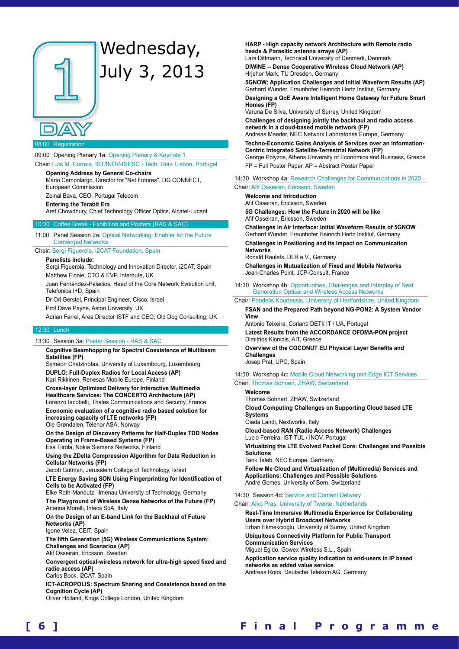

## Wednesday, July 3, 2013

#### 08:00 Registration

09:00 Opening Plenary 1a: Opening Plenary & Keynote 1 Chair: Luis M. Correia, IST/INOV-INESC - Tech. Univ. Lisbon, Portugal

**Opening Address by General Co-chairs** Mário Campolargo, Director for "Net Futures", DG CONNECT, European Commission

Zeinal Bava, CEO, Portugal Telecom

#### **Entering the Terabit Era**

Aref Chowdhury, Chief Technology Officer Optics, Alcatel-Lucent

#### 10:30 Coffee Break - Exhibition and Posters (RAS & SAC)

11:00 Panel Session 2a: Optical Networking: Enabler for the Future Converged Networks

Chair: Sergi Figuerola, i2CAT Foundation, Spain

#### **Panelists include:**

Sergi Figuerola, Technology and Innovation Director, i2CAT, Spain Matthew Finnie, CTO & EVP, Interoute, UK

Juan Fernández-Palacios, Head of the Core Network Evolution unit, Telefonica I+D, Spain

Dr Ori Gerstel, Principal Engineer, Cisco, Israel

Prof Dave Payne, Aston University, UK

Adrian Farrel, Area Director ISTF and CEO, Old Dog Consulting, UK

#### 12:30 Lunch

#### 13:30 Session 3a: Poster Session - RAS & SAC

**Cognitive Beamhopping for Spectral Coexistence of Multibeam Satellites (FP)**

Symeon Chatzinotas, University of Luxembourg, Luxembourg **DUPLO: Full-Duplex Radios for Local Access (AP)** Kari Rikkinen, Renesas Mobile Europe, Finland

**Cross-layer Optimized Delivery for Interactive Multimedia Healthcare Services: The CONCERTO Architecture (AP)** Lorenzo Iacobelli, Thales Communications and Security, France **Economic evaluation of a cognitive radio based solution for** 

**increasing capacity of LTE networks (FP)** Ole Grøndalen, Telenor ASA, Norway

**On the Design of Discovery Patterns for Half-Duplex TDD Nodes Operating in Frame-Based Systems (FP)** Esa Tiirola, Nokia Siemens Networks, Finland

**Using the ZDelta Compression Algorithm for Data Reduction in Cellular Networks (FP)**

Jacob Gutman, Jerusalem College of Technology, Israel

**LTE Energy Saving SON Using Fingerprinting for Identification of Cells to be Activated (FP)**

Elke Roth-Mandutz, Ilmenau University of Technology, Germany **The Playground of Wireless Dense Networks of the Future (FP)** Arianna Morelli, Intecs SpA, Italy

**On the Design of an E-band Link for the Backhaul of Future Networks (AP)**

Igone Velez, CEIT, Spain

**The fifth Generation (5G) Wireless Communications System: Challenges and Scenarios (AP)** Afif Osseiran, Ericsson, Sweden

**Convergent optical-wireless network for ultra-high speed fixed and radio access (AP)**

Carlos Bock, i2CAT, Spain

**ICT-ACROPOLIS: Spectrum Sharing and Coexistence based on the Cognition Cycle (AP)**

Oliver Holland, Kings College London, United Kingdom

**HARP - High capacity network Architecture with Remote radio heads & Parasitic antenna arrays (AP)** Lars Dittmann, Technical University of Denmark, Denmark

**DIWINE -- Dense Cooperative Wireless Cloud Network (AP)** Hrjehor Mark, TU Dresden, Germany

**5GNOW: Application Challenges and Initial Waveform Results (AP)** Gerhard Wunder, Fraunhofer Heinrich Hertz Institut, Germany

**Designing a QoE Aware Intelligent Home Gateway for Future Smart Homes (FP)**

Varuna De Silva, University of Surrey, United Kingdom

**Challenges of designing jointly the backhaul and radio access network in a cloud-based mobile network (FP)** Andreas Maeder, NEC Network Laboratories Europe, Germany

**Techno-Economic Gains Analysis of Services over an Information-Centric Integrated Satellite-Terrestrial Network (FP)** George Polyzos, Athens University of Economics and Business, Greece FP = Full Poster Paper, AP = Abstract Poster Paper

14:30 Workshop 4a: Research Challenges for Communications in 2020

Chair: Afif Osseiran, Ericsson, Sweden

**Welcome and Introduction**

Afif Osseiran, Ericsson, Sweden

**5G Challenges: How the Future in 2020 will be like** Afif Osseiran, Ericsson, Sweden

**Challenges in Air Interface: Initial Waveform Results of 5GNOW** Gerhard Wunder, Fraunhofer Heinrich Hertz Institut, Germany **Challenges in Positioning and its Impact on Communication Networks**

Ronald Raulefs, DLR e.V., Germany

**Challenges in Mutualization of Fixed and Mobile Networks** Jean-Charles Point, JCP-Consult, France

14:30 Workshop 4b: Opportunities, Challenges and Interplay of Next Generation Optical and Wireless Access Networks

#### Chair: Pandelis Kourtessis, University of Hertfordshire, United Kingdom

**FSAN and the Prepared Path beyond NG-PON2: A System Vendor View**

Antonio Teixeira, Coriant/ DETI/ IT / UA, Portugal **Latest Results from the ACCORDANCE OFDMA-PON project** Dimitrios Klonidis, AIT, Greece **Overview of the COCONUT EU Physical Layer Benefits and Challenges**

Josep Prat, UPC, Spain

14:30 Workshop 4c: Mobile Cloud Networking and Edge ICT Services Chair: Thomas Bohnert, ZHAW, Switzerland

#### **Welcome** Thomas Bohnert, ZHAW, Switzerland

**Cloud Computing Challenges on Supporting Cloud based LTE Systems** Giada Landi, Nextworks, Italy **Cloud-based RAN (Radio Access Network) Challenges** Lucio Ferreira, IST-TUL / INOV, Portugal **Virtualizing the LTE Evolved Packet Core: Challenges and Possible Solutions** Tarik Taleb, NEC Europe, Germany **Follow Me Cloud and Virtualization of (Multimedia) Services and Applications: Challenges and Possible Solutions** André Gomes, University of Bern, Switzerland

14:30 Session 4d: Service and Content Delivery Chair: Aiko Pras, University of Twente, Netherlands

**Real-Time Immersive Multimedia Experience for Collaborating Users over Hybrid Broadcast Networks** Erhan Ekmekcioglu, University of Surrey, United Kingdom **Ubiquitous Connectivity Platform for Public Transport Communication Services**

Miguel Egido, Gowex Wireless S.L., Spain

**Application service quality indication to end-users in IP based networks as added value service** Andreas Roos, Deutsche Telekom AG, Germany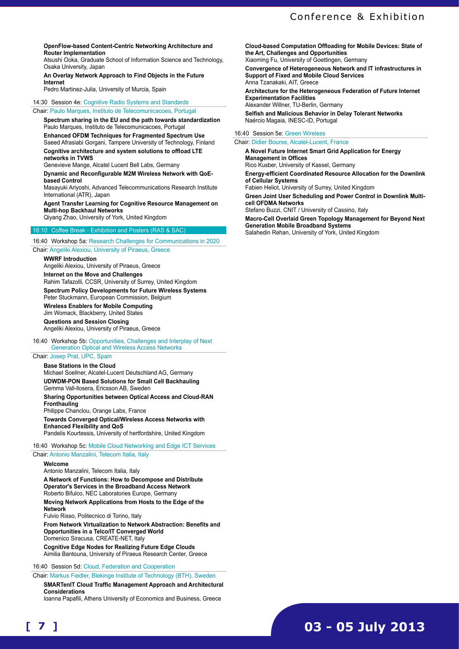#### Conference & Exhibition

#### **OpenFlow-based Content-Centric Networking Architecture and Router Implementation**

Atsushi Ooka, Graduate School of Information Science and Technology, Osaka University, Japan

#### **An Overlay Network Approach to Find Objects in the Future Internet**

Pedro Martinez-Julia, University of Murcia, Spain

#### 14:30 Session 4e: Cognitive Radio Systems and Standards

Chair: Paulo Marques, Instituto de Telecomunicacoes, Portugal

**Spectrum sharing in the EU and the path towards standardization** Paulo Marques, Instituto de Telecomunicacoes, Portugal **Enhanced OFDM Techniques for Fragmented Spectrum Use**

Saeed Afrasiabi Gorgani, Tampere University of Technology, Finland **Cognitive architecture and system solutions to offload LTE** 

**networks in TVWS** Genevieve Mange, Alcatel Lucent Bell Labs, Germany

**Dynamic and Reconfigurable M2M Wireless Network with QoEbased Control**

Masayuki Ariyoshi, Advanced Telecommunications Research Institute International (ATR), Japan

**Agent Transfer Learning for Cognitive Resource Management on Multi-hop Backhaul Networks**

Qiyang Zhao, University of York, United Kingdom

#### 16:10 Coffee Break - Exhibition and Posters (RAS & SAC)

16:40 Workshop 5a: Research Challenges for Communications in 2020 Chair: Angeliki Alexiou, University of Piraeus, Greece

#### **WWRF Introduction**

Angeliki Alexiou, University of Piraeus, Greece **Internet on the Move and Challenges** Rahim Tafazolli, CCSR, University of Surrey, United Kingdom **Spectrum Policy Developments for Future Wireless Systems** Peter Stuckmann, European Commission, Belgium

#### **Wireless Enablers for Mobile Computing**

Jim Womack, Blackberry, United States

**Questions and Session Closing** Angeliki Alexiou, University of Piraeus, Greece

#### 16:40 Workshop 5b: Opportunities, Challenges and Interplay of Next Generation Optical and Wireless Access Networks

#### Chair: Josep Prat, UPC, Spain

**Base Stations in the Cloud** Michael Soellner, Alcatel-Lucent Deutschland AG, Germany **UDWDM-PON Based Solutions for Small Cell Backhauling** Gemma Vall-llosera, Ericsson AB, Sweden **Sharing Opportunities between Optical Access and Cloud-RAN** 

**Fronthauling** Philippe Chanclou, Orange Labs, France

**Towards Converged Optical/Wireless Access Networks with Enhanced Flexibility and QoS**

Pandelis Kourtessis, University of hertfordshire, United Kingdom

#### 16:40 Workshop 5c: Mobile Cloud Networking and Edge ICT Services

Chair: Antonio Manzalini, Telecom Italia, Italy

#### **Welcome**

Antonio Manzalini, Telecom Italia, Italy **A Network of Functions: How to Decompose and Distribute Operator's Services in the Broadband Access Network** Roberto Bifulco, NEC Laboratories Europe, Germany

**Moving Network Applications from Hosts to the Edge of the Network**

Fulvio Risso, Politecnico di Torino, Italy

**From Network Virtualization to Network Abstraction: Benefits and Opportunities in a Telco/IT Converged World** Domenico Siracusa, CREATE-NET, Italy

**Cognitive Edge Nodes for Realizing Future Edge Clouds** Aimilia Bantouna, University of Piraeus Research Center, Greece

#### 16:40 Session 5d: Cloud, Federation and Cooperation

Chair: Markus Fiedler, Blekinge Institute of Technology (BTH), Sweden

**SMARTenIT Cloud Traffic Management Approach and Architectural Considerations**

Ioanna Papafili, Athens University of Economics and Business, Greece

**Cloud-based Computation Offloading for Mobile Devices: State of the Art, Challenges and Opportunities**

Xiaoming Fu, University of Goettingen, Germany **Convergence of Heterogeneous Network and IT infrastructures in Support of Fixed and Mobile Cloud Services** Anna Tzanakaki, AIT, Greece

**Architecture for the Heterogeneous Federation of Future Internet Experimentation Facilities** Alexander Willner, TU-Berlin, Germany

**Selfish and Malicious Behavior in Delay Tolerant Networks** Naércio Magaia, INESC-ID, Portugal

#### 16:40 Session 5e: Green Wireless

#### Chair: Didier Bourse, Alcatel-Lucent, France

**A Novel Future Internet Smart Grid Application for Energy Management in Offices** Rico Kusber, University of Kassel, Germany

**Energy-efficient Coordinated Resource Allocation for the Downlink of Cellular Systems**

Fabien Heliot, University of Surrey, United Kingdom

**Green Joint User Scheduling and Power Control in Downlink Multicell OFDMA Networks**

Stefano Buzzi, CNIT / University of Cassino, Italy

**Macro-Cell Overlaid Green Topology Management for Beyond Next Generation Mobile Broadband Systems**

Salahedin Rehan, University of York, United Kingdom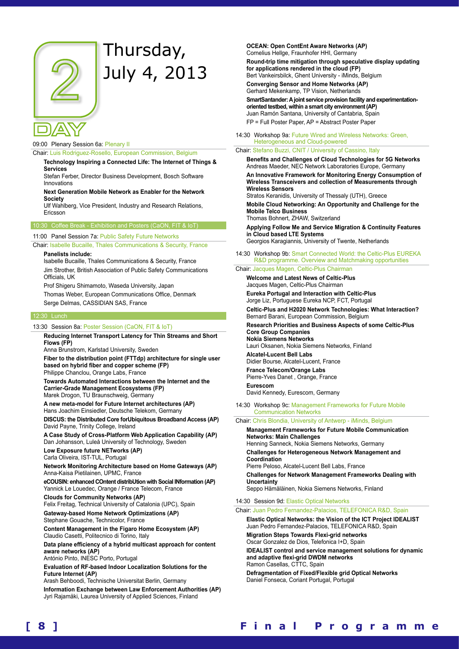

## Thursday, July 4, 2013

#### 09:00 Plenary Session 6a: Plenary II

#### Chair: Luis Rodriguez-Rosello, European Commission, Belgium

**Technology Inspiring a Connected Life: The Internet of Things & Services**

Stefan Ferber, Director Business Development, Bosch Software Innovations

**Next Generation Mobile Network as Enabler for the Network Society**

Ulf Wahlberg, Vice President, Industry and Research Relations, Ericsson

#### 10:30 Coffee Break - Exhibition and Posters (CaON, FIT & IoT)

11:00 Panel Session 7a: Public Safety Future Networks

Chair: Isabelle Bucaille, Thales Communications & Security, France

**Panelists include:**

Isabelle Bucaille, Thales Communications & Security, France Jim Strother, British Association of Public Safety Communications Officials, UK

Prof Shigeru Shimamoto, Waseda University, Japan

Thomas Weber, European Communications Office, Denmark Serge Delmas, CASSIDIAN SAS, France

#### 12:30 Lunch

#### 13:30 Session 8a: Poster Session (CaON, FIT & IoT)

**Reducing Internet Transport Latency for Thin Streams and Short Flows (FP)**

Anna Brunstrom, Karlstad University, Sweden

**Fiber to the distribution point (FTTdp) architecture for single user based on hybrid fiber and copper scheme (FP)** Philippe Chanclou, Orange Labs, France

**Towards Automated Interactions between the Internet and the Carrier-Grade Management Ecosystems (FP)** Marek Drogon, TU Braunschweig, Germany

**A new meta-model for Future Internet architectures (AP)** Hans Joachim Einsiedler, Deutsche Telekom, Germany

**DISCUS: the Distributed Core forUbiquitous Broadband Access (AP)** David Payne, Trinity College, Ireland

**A Case Study of Cross-Platform Web Application Capability (AP)** Dan Johansson, Luleå University of Technology, Sweden

**Low Exposure future NETworks (AP)** Carla Oliveira, IST-TUL, Portugal

**Network Monitoring Architecture based on Home Gateways (AP)** Anna-Kaisa Pietilainen, UPMC, France

**eCOUSIN: enhanced COntent distribUtion with Social INformation (AP)** Yannick Le Louedec, Orange / France Telecom, France

**Clouds for Community Networks (AP)**

Felix Freitag, Technical University of Catalonia (UPC), Spain **Gateway-based Home Network Optimizations (AP)**

Stephane Gouache, Technicolor, France

**Content Management in the Figaro Home Ecosystem (AP)** Claudio Casetti, Politecnico di Torino, Italy

**Data plane efficiency of a hybrid multicast approach for content aware networks (AP)**

António Pinto, INESC Porto, Portugal

**Evaluation of RF-based Indoor Localization Solutions for the Future Internet (AP)**

Arash Behboodi, Technische Universitat Berlin, Germany

**Information Exchange between Law Enforcement Authorities (AP)** Jyri Rajamäki, Laurea University of Applied Sciences, Finland

**OCEAN: Open ContEnt Aware Networks (AP)** Cornelius Hellge, Fraunhofer HHI, Germany

**Round-trip time mitigation through speculative display updating for applications rendered in the cloud (FP)** Bert Vankeirsbilck, Ghent University - iMinds, Belgium **Converging Sensor and Home Networks (AP)**

Gerhard Mekenkamp, TP Vision, Netherlands **SmartSantander: A joint service provision facility and experimentation-**

**oriented testbed, within a smart city environment (AP)** Juan Ramón Santana, University of Cantabria, Spain FP = Full Poster Paper, AP = Abstract Poster Paper

14:30 Workshop 9a: Future Wired and Wireless Networks: Green, Heterogeneous and Cloud-powered

#### Chair: Stefano Buzzi, CNIT / University of Cassino, Italy

**Benefits and Challenges of Cloud Technologies for 5G Networks** Andreas Maeder, NEC Network Laboratories Europe, Germany **An Innovative Framework for Monitoring Energy Consumption of Wireless Transceivers and collection of Measurements through Wireless Sensors**

Stratos Keranidis, University of Thessaly (UTH), Greece **Mobile Cloud Networking: An Opportunity and Challenge for the Mobile Telco Business**

Thomas Bohnert, ZHAW, Switzerland **Applying Follow Me and Service Migration & Continuity Features in Cloud based LTE Systems**

Georgios Karagiannis, University of Twente, Netherlands

14:30 Workshop 9b: Smart Connected World: the Celtic-Plus EUREKA R&D programme. Overview and Matchmaking opportunities

#### Chair: Jacques Magen, Celtic-Plus Chairman

**Welcome and Latest News of Celtic-Plus** Jacques Magen, Celtic-Plus Chairman **Eureka Portugal and Interaction with Celtic-Plus** Jorge Liz, Portuguese Eureka NCP, FCT, Portugal **Celtic-Plus and H2020 Network Technologies: What Interaction?** Bernard Barani, European Commission, Belgium **Research Priorities and Business Aspects of some Celtic-Plus Core Group Companies Nokia Siemens Networks** Lauri Oksanen, Nokia Siemens Networks, Finland **Alcatel-Lucent Bell Labs** Didier Bourse, Alcatel-Lucent, France

**France Telecom/Orange Labs** Pierre-Yves Danet , Orange, France

**Eurescom** David Kennedy, Eurescom, Germany

14:30 Workshop 9c: Management Frameworks for Future Mobile Communication Networks

Chair: Chris Blondia, University of Antwerp - iMinds, Belgium

**Management Frameworks for Future Mobile Communication Networks: Main Challenges**

Henning Sanneck, Nokia Siemens Networks, Germany **Challenges for Heterogeneous Network Management and Coordination**

Pierre Peloso, Alcatel-Lucent Bell Labs, France

**Challenges for Network Management Frameworks Dealing with Uncertainty**

Seppo Hämäläinen, Nokia Siemens Networks, Finland

14:30 Session 9d: Elastic Optical Networks

Chair: Juan Pedro Fernandez-Palacios, TELEFONICA R&D, Spain

**Elastic Optical Networks: the Vision of the ICT Project IDEALIST** Juan Pedro Fernandez-Palacios, TELEFONICA R&D, Spain

**Migration Steps Towards Flexi-grid networks** Oscar Gonzalez de Dios, Telefonica I+D, Spain

**IDEALIST control and service management solutions for dynamic and adaptive flexi-grid DWDM networks** Ramon Casellas, CTTC, Spain

**Defragmentation of Fixed/Flexible grid Optical Networks** Daniel Fonseca, Coriant Portugal, Portugal

#### **[ 8 ] F i n a l P r o g r a m m e [ 9 ]**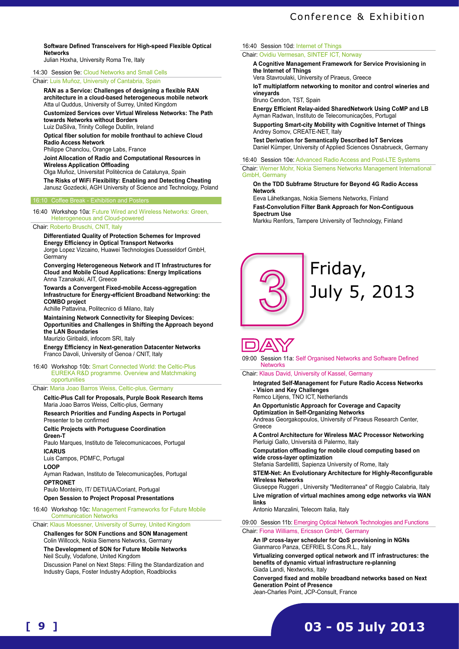#### Conference & Exhibition

#### **Software Defined Transceivers for High-speed Flexible Optical Networks**

Julian Hoxha, University Roma Tre, Italy

| 14:30 Session 9e: Cloud Networks and Small Cells |  |  |  |
|--------------------------------------------------|--|--|--|
|                                                  |  |  |  |

Chair: Luis Muñoz, University of Cantabria, Spain

#### **RAN as a Service: Challenges of designing a flexible RAN architecture in a cloud-based heterogeneous mobile network** Atta ul Quddus, University of Surrey, United Kingdom

**Customized Services over Virtual Wireless Networks: The Path towards Networks without Borders**

Luiz DaSilva, Trinity College Dubllin, Ireland

**Optical fiber solution for mobile fronthaul to achieve Cloud Radio Access Network**

Philippe Chanclou, Orange Labs, France

**Joint Allocation of Radio and Computational Resources in Wireless Application Offloading**

Olga Muñoz, Universitat Politècnica de Catalunya, Spain **The Risks of WiFi Flexibility: Enabling and Detecting Cheating** Janusz Gozdecki, AGH University of Science and Technology, Poland

#### 16:10 Coffee Break - Exhibition and Posters

16:40 Workshop 10a: Future Wired and Wireless Networks: Green, Heterogeneous and Cloud-powered

#### Chair: Roberto Bruschi, CNIT, Italy

**Differentiated Quality of Protection Schemes for Improved Energy Efficiency in Optical Transport Networks** Jorge Lopez Vizcaino, Huawei Technologies Duesseldorf GmbH, **Germany** 

**Converging Heterogeneous Network and IT Infrastructures for Cloud and Mobile Cloud Applications: Energy Implications** Anna Tzanakaki, AIT, Greece

**Towards a Convergent Fixed-mobile Access-aggregation Infrastructure for Energy-efficient Broadband Networking: the COMBO project**

Achille Pattavina, Politecnico di Milano, Italy

**Maintaining Network Connectivity for Sleeping Devices: Opportunities and Challenges in Shifting the Approach beyond the LAN Boundaries**

Maurizio Giribaldi, infocom SRl, Italy

**Energy Efficiency in Next-generation Datacenter Networks** Franco Davoli, University of Genoa / CNIT, Italy

#### 16:40 Workshop 10b: Smart Connected World: the Celtic-Plus EUREKA R&D programme. Overview and Matchmaking opportunities

Chair: Maria Joao Barros Weiss, Celtic-plus, Germany

#### **Celtic-Plus Call for Proposals, Purple Book Research Items** Maria Joao Barros Weiss, Celtic-plus, Germany

**Research Priorities and Funding Aspects in Portugal** Presenter to be confirmed

#### **Celtic Projects with Portuguese Coordination**

**Green-T** Paulo Marques, Instituto de Telecomunicacoes, Portugal **ICARUS**

Luis Campos, PDMFC, Portugal

**LOOP**

Ayman Radwan, Instituto de Telecomunicações, Portugal **OPTRONET**

Paulo Monteiro, IT/ DETI/UA/Coriant, Portugal

**Open Session to Project Proposal Presentations**

16:40 Workshop 10c: Management Frameworks for Future Mobile Communication Networks

#### Chair: Klaus Moessner, University of Surrey, United Kingdom

**Challenges for SON Functions and SON Management** Colin Willcock, Nokia Siemens Networks, Germany

**The Development of SON for Future Mobile Networks** Neil Scully, Vodafone, United Kingdom

Discussion Panel on Next Steps: Filling the Standardization and Industry Gaps, Foster Industry Adoption, Roadblocks

#### 16:40 Session 10d: Internet of Things

Chair: Ovidiu Vermesan, SINTEF ICT, Norway

**A Cognitive Management Framework for Service Provisioning in the Internet of Things**

Vera Stavroulaki, University of Piraeus, Greece

**IoT multiplatform networking to monitor and control wineries and vineyards**

Bruno Cendon, TST, Spain

**Energy Efficient Relay-aided SharedNetwork Using CoMP and LB** Ayman Radwan, Instituto de Telecomunicações, Portugal

**Supporting Smart-city Mobility with Cognitive Internet of Things** Andrey Somov, CREATE-NET, Italy

**Test Derivation for Semantically Described IoT Services** Daniel Kümper, University of Applied Sciences Osnabrueck, Germany

#### 16:40 Session 10e: Advanced Radio Access and Post-LTE Systems

Chair: Werner Mohr, Nokia Siemens Networks Management International GmbH, Germany

**On the TDD Subframe Structure for Beyond 4G Radio Access Network**

Eeva Lähetkangas, Nokia Siemens Networks, Finland **Fast-Convolution Filter Bank Approach for Non-Contiguous Spectrum Use** Markku Renfors, Tampere University of Technology, Finland

Friday, July 5, 2013



09:00 Session 11a: Self Organised Networks and Software Defined **Networks** 

Chair: Klaus David, University of Kassel, Germany

**Integrated Self-Management for Future Radio Access Networks - Vision and Key Challenges** Remco Litjens, TNO ICT, Netherlands **An Opportunistic Approach for Coverage and Capacity Optimization in Self-Organizing Networks** Andreas Georgakopoulos, University of Piraeus Research Center, Greece **A Control Architecture for Wireless MAC Processor Networking** Pierluigi Gallo, Università di Palermo, Italy **Computation offloading for mobile cloud computing based on wide cross-layer optimization** Stefania Sardellitti, Sapienza University of Rome, Italy **STEM-Net: An Evolutionary Architecture for Highly-Reconfigurable Wireless Networks** Giuseppe Ruggeri , University "Mediterranea" of Reggio Calabria, Italy **Live migration of virtual machines among edge networks via WAN links** Antonio Manzalini, Telecom Italia, Italy 09:00 Session 11b: Emerging Optical Network Technologies and Functions Chair: Fiona Williams, Ericsson GmbH, Germany **An IP cross-layer scheduler for QoS provisioning in NGNs** Gianmarco Panza, CEFRIEL S.Cons.R.L., Italy

**Virtualizing converged optical network and IT infrastructures: the benefits of dynamic virtual infrastructure re-planning** Giada Landi, Nextworks, Italy

**Converged fixed and mobile broadband networks based on Next Generation Point of Presence**

Jean-Charles Point, JCP-Consult, France

## **03 - 05 July 2013**

**[ 8 ] F i n a l P r o g r a m m e [ 9 ]**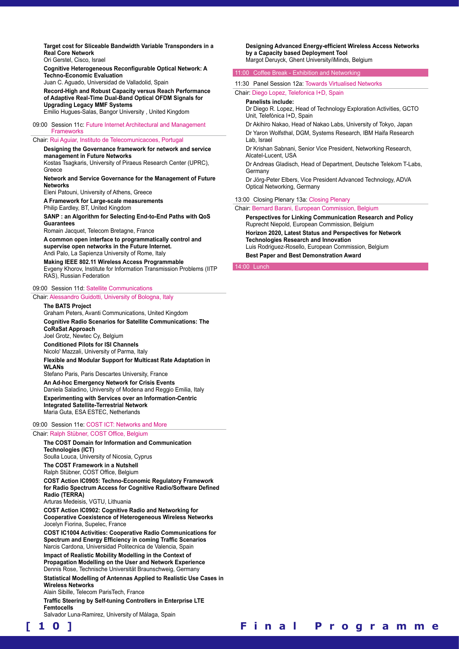**Target cost for Sliceable Bandwidth Variable Transponders in a Real Core Network**

Ori Gerstel, Cisco, Israel

**Cognitive Heterogeneous Reconfigurable Optical Network: A Techno-Economic Evaluation** Juan C. Aguado, Universidad de Valladolid, Spain

**Record-High and Robust Capacity versus Reach Performance of Adaptive Real-Time Dual-Band Optical OFDM Signals for Upgrading Legacy MMF Systems**

Emilio Hugues-Salas, Bangor University , United Kingdom

#### 09:00 Session 11c: Future Internet Architectural and Management **Frameworks**

#### Chair: Rui Aguiar, Instituto de Telecomunicacoes, Portugal

**Designing the Governance framework for network and service management in Future Networks**

Kostas Tsagkaris, University of Piraeus Research Center (UPRC), Greece

**Network and Service Governance for the Management of Future Networks**

Eleni Patouni, University of Athens, Greece

**A Framework for Large-scale measurements** Philip Eardley, BT, United Kingdom

#### **SANP : an Algorithm for Selecting End-to-End Paths with QoS Guarantees**

Romain Jacquet, Telecom Bretagne, France

**A common open interface to programmatically control and supervise open networks in the Future Internet.** Andi Palo, La Sapienza University of Rome, Italy

**Making IEEE 802.11 Wireless Access Programmable** Evgeny Khorov, Institute for Information Transmission Problems (IITP RAS), Russian Federation

#### 09:00 Session 11d: Satellite Communications

Chair: Alessandro Guidotti, University of Bologna, Italy

#### **The BATS Project**

Graham Peters, Avanti Communications, United Kingdom **Cognitive Radio Scenarios for Satellite Communications: The CoRaSat Approach** Joel Grotz, Newtec Cy, Belgium **Conditioned Pilots for ISI Channels** Nicolo' Mazzali, University of Parma, Italy **Flexible and Modular Support for Multicast Rate Adaptation in WLANs**

Stefano Paris, Paris Descartes University, France **An Ad-hoc Emergency Network for Crisis Events** Daniela Saladino, University of Modena and Reggio Emilia, Italy **Experimenting with Services over an Information-Centric Integrated Satellite-Terrestrial Network** Maria Guta, ESA ESTEC, Netherlands

#### 09:00 Session 11e: COST ICT: Networks and More

#### Chair: Ralph Stübner, COST Office, Belgium

**The COST Domain for Information and Communication** 

**Technologies (ICT)** Soulla Louca, University of Nicosia, Cyprus **The COST Framework in a Nutshell**

Ralph Stübner, COST Office, Belgium **COST Action IC0905: Techno-Economic Regulatory Framework** 

**for Radio Spectrum Access for Cognitive Radio/Software Defined Radio (TERRA)**

Arturas Medeisis, VGTU, Lithuania

**COST Action IC0902: Cognitive Radio and Networking for Cooperative Coexistence of Heterogeneous Wireless Networks** Jocelyn Fiorina, Supelec, France

**COST IC1004 Activities: Cooperative Radio Communications for Spectrum and Energy Efficiency in coming Traffic Scenarios** Narcis Cardona, Universidad Politecnica de Valencia, Spain

**Impact of Realistic Mobility Modelling in the Context of Propagation Modelling on the User and Network Experience** Dennis Rose, Technische Universität Braunschweig, Germany

**Statistical Modelling of Antennas Applied to Realistic Use Cases in Wireless Networks**

Alain Sibille, Telecom ParisTech, France

**Traffic Steering by Self-tuning Controllers in Enterprise LTE Femtocells**

Salvador Luna-Ramirez, University of Málaga, Spain



**Designing Advanced Energy-efficient Wireless Access Networks by a Capacity based Deployment Tool** Margot Deruyck, Ghent University/iMinds, Belgium

#### 11:00 Coffee Break - Exhibition and Networking

11:30 Panel Session 12a: Towards Virtualised Networks Chair: Diego Lopez, Telefonica I+D, Spain **Panelists include:** Dr Diego R. Lopez, Head of Technology Exploration Activities, GCTO Unit, Telefónica I+D, Spain Dr Akihiro Nakao, Head of Nakao Labs, University of Tokyo, Japan Dr Yaron Wolfsthal, DGM, Systems Research, IBM Haifa Research Lab, Israel Dr Krishan Sabnani, Senior Vice President, Networking Research, Alcatel-Lucent, USA Dr Andreas Gladisch, Head of Department, Deutsche Telekom T-Labs, Germany Dr Jörg-Peter Elbers, Vice President Advanced Technology, ADVA Optical Networking, Germany

13:00 Closing Plenary 13a: Closing Plenary

Chair: Bernard Barani, European Commission, Belgium

**Perspectives for Linking Communication Research and Policy** Ruprecht Niepold, European Commission, Belgium **Horizon 2020, Latest Status and Perspectives for Network** 

**Technologies Research and Innovation** Luis Rodriguez-Rosello, European Commission, Belgium **Best Paper and Best Demonstration Award**

14:00 Lunch